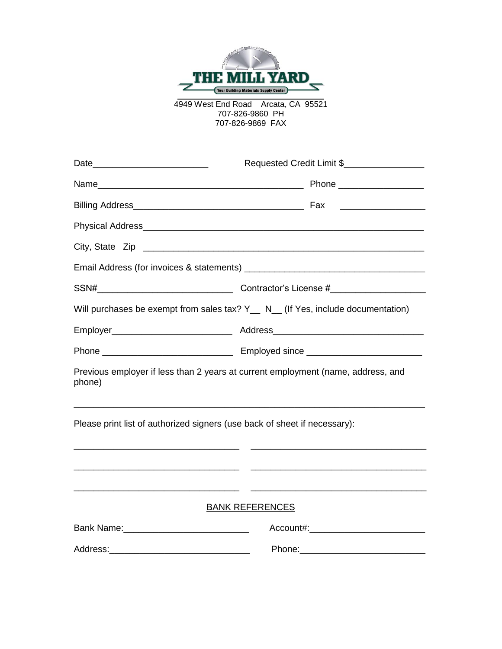

4949 West End Road Arcata, CA 95521 707-826-9860 PH 707-826-9869 FAX

|                                                                              | Requested Credit Limit \$                                                                                                                                                                                                                        |
|------------------------------------------------------------------------------|--------------------------------------------------------------------------------------------------------------------------------------------------------------------------------------------------------------------------------------------------|
|                                                                              |                                                                                                                                                                                                                                                  |
|                                                                              |                                                                                                                                                                                                                                                  |
|                                                                              |                                                                                                                                                                                                                                                  |
|                                                                              |                                                                                                                                                                                                                                                  |
|                                                                              |                                                                                                                                                                                                                                                  |
|                                                                              |                                                                                                                                                                                                                                                  |
|                                                                              | Will purchases be exempt from sales tax? Y__ N_ (If Yes, include documentation)                                                                                                                                                                  |
|                                                                              |                                                                                                                                                                                                                                                  |
|                                                                              |                                                                                                                                                                                                                                                  |
| phone)                                                                       | Previous employer if less than 2 years at current employment (name, address, and                                                                                                                                                                 |
| Please print list of authorized signers (use back of sheet if necessary):    |                                                                                                                                                                                                                                                  |
| <u> 1980 - Jan Barbara, martin da kasar Amerikaan dan Barbara (j. 1980).</u> |                                                                                                                                                                                                                                                  |
| <u> 1989 - Andrea Stadt Britain, amerikansk politik (* 1958)</u>             | <u> 1989 - Johann Harry Harry Harry Harry Harry Harry Harry Harry Harry Harry Harry Harry Harry Harry Harry Harry</u><br><u> 1989 - Johann Harry Harry Harry Harry Harry Harry Harry Harry Harry Harry Harry Harry Harry Harry Harry Harry H</u> |
|                                                                              | <b>BANK REFERENCES</b>                                                                                                                                                                                                                           |
|                                                                              |                                                                                                                                                                                                                                                  |
|                                                                              |                                                                                                                                                                                                                                                  |